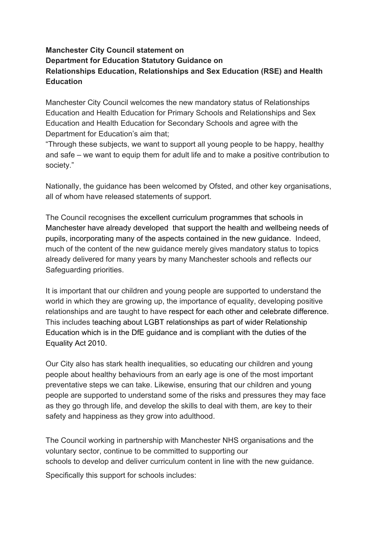## **Manchester City Council statement on Department for Education Statutory Guidance on Relationships Education, Relationships and Sex Education (RSE) and Health Education**

Manchester City Council welcomes the new mandatory status of Relationships Education and Health Education for Primary Schools and Relationships and Sex Education and Health Education for Secondary Schools and agree with the Department for Education's aim that;

"Through these subjects, we want to support all young people to be happy, healthy and safe – we want to equip them for adult life and to make a positive contribution to society."

Nationally, the guidance has been welcomed by Ofsted, and other key organisations, all of whom have released statements of support.

The Council recognises the excellent curriculum programmes that schools in Manchester have already developed that support the health and wellbeing needs of pupils, incorporating many of the aspects contained in the new guidance. Indeed, much of the content of the new guidance merely gives mandatory status to topics already delivered for many years by many Manchester schools and reflects our Safeguarding priorities.

It is important that our children and young people are supported to understand the world in which they are growing up, the importance of equality, developing positive relationships and are taught to have respect for each other and celebrate difference. This includes teaching about LGBT relationships as part of wider Relationship Education which is in the DfE guidance and is compliant with the duties of the Equality Act 2010.

Our City also has stark health inequalities, so educating our children and young people about healthy behaviours from an early age is one of the most important preventative steps we can take. Likewise, ensuring that our children and young people are supported to understand some of the risks and pressures they may face as they go through life, and develop the skills to deal with them, are key to their safety and happiness as they grow into adulthood.

The Council working in partnership with Manchester NHS organisations and the voluntary sector, continue to be committed to supporting our schools to develop and deliver curriculum content in line with the new guidance.

Specifically this support for schools includes: